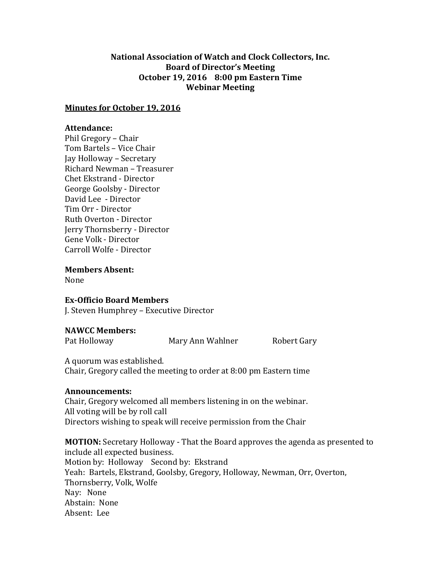### **National Association of Watch and Clock Collectors, Inc. Board of Director's Meeting October 19, 2016 8:00 pm Eastern Time Webinar Meeting**

#### **Minutes for October 19, 2016**

### **Attendance:**

Phil Gregory – Chair Tom Bartels – Vice Chair Jay Holloway – Secretary Richard Newman – Treasurer Chet Ekstrand - Director George Goolsby - Director David Lee - Director Tim Orr - Director Ruth Overton - Director Jerry Thornsberry - Director Gene Volk - Director Carroll Wolfe - Director

**Members Absent:**

None

# **Ex-Officio Board Members**

J. Steven Humphrey – Executive Director

# **NAWCC Members:**

Pat Holloway **Mary Ann Wahlner** Robert Gary

A quorum was established. Chair, Gregory called the meeting to order at 8:00 pm Eastern time

#### **Announcements:**

Chair, Gregory welcomed all members listening in on the webinar. All voting will be by roll call Directors wishing to speak will receive permission from the Chair

**MOTION:** Secretary Holloway - That the Board approves the agenda as presented to include all expected business. Motion by: Holloway Second by: Ekstrand Yeah: Bartels, Ekstrand, Goolsby, Gregory, Holloway, Newman, Orr, Overton, Thornsberry, Volk, Wolfe Nay: None Abstain: None Absent: Lee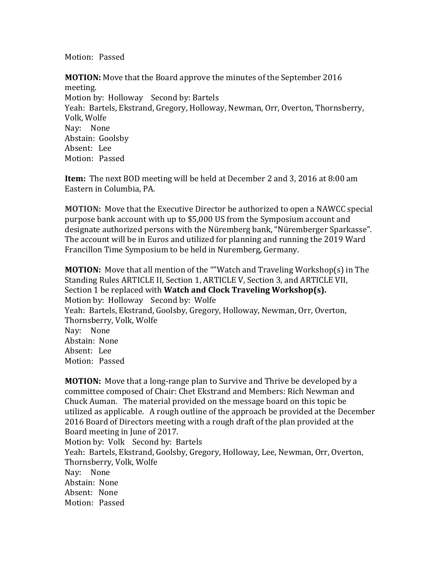Motion: Passed

**MOTION:** Move that the Board approve the minutes of the September 2016 meeting. Motion by: Holloway Second by: Bartels Yeah: Bartels, Ekstrand, Gregory, Holloway, Newman, Orr, Overton, Thornsberry, Volk, Wolfe Nay: None Abstain: Goolsby Absent: Lee Motion: Passed

**Item:** The next BOD meeting will be held at December 2 and 3, 2016 at 8:00 am Eastern in Columbia, PA.

**MOTION:** Move that the Executive Director be authorized to open a NAWCC special purpose bank account with up to \$5,000 US from the Symposium account and designate authorized persons with the Nüremberg bank, "Nüremberger Sparkasse". The account will be in Euros and utilized for planning and running the 2019 Ward Francillon Time Symposium to be held in Nuremberg, Germany.

**MOTION:** Move that all mention of the ""Watch and Traveling Workshop(s) in The Standing Rules ARTICLE II, Section 1, ARTICLE V, Section 3, and ARTICLE VII, Section 1 be replaced with **Watch and Clock Traveling Workshop(s).** Motion by: Holloway Second by: Wolfe Yeah: Bartels, Ekstrand, Goolsby, Gregory, Holloway, Newman, Orr, Overton, Thornsberry, Volk, Wolfe Nay: None Abstain: None Absent: Lee Motion: Passed

**MOTION:** Move that a long-range plan to Survive and Thrive be developed by a committee composed of Chair: Chet Ekstrand and Members: Rich Newman and Chuck Auman. The material provided on the message board on this topic be utilized as applicable. A rough outline of the approach be provided at the December 2016 Board of Directors meeting with a rough draft of the plan provided at the Board meeting in June of 2017. Motion by: Volk Second by: Bartels Yeah: Bartels, Ekstrand, Goolsby, Gregory, Holloway, Lee, Newman, Orr, Overton, Thornsberry, Volk, Wolfe Nay: None Abstain: None Absent: None Motion: Passed